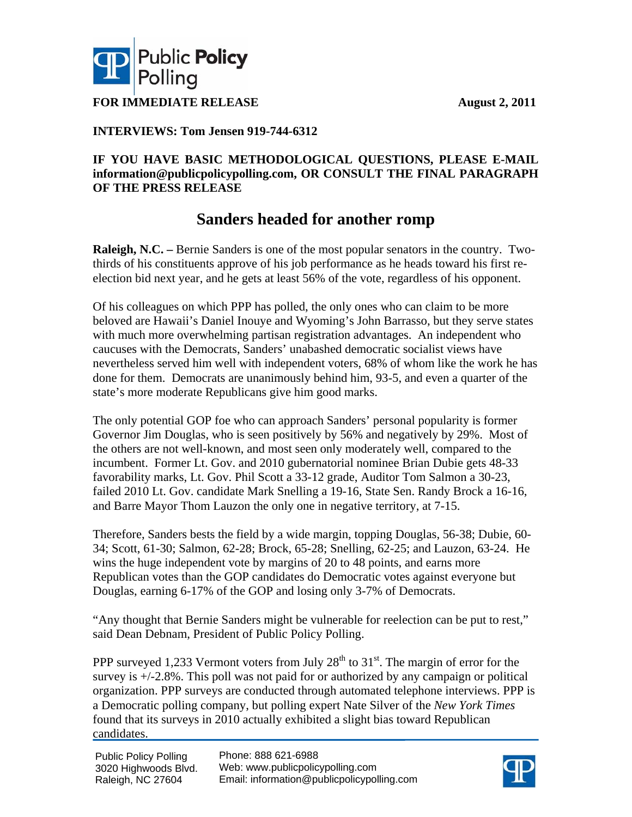

**FOR IMMEDIATE RELEASE August 2, 2011** 

## **INTERVIEWS: Tom Jensen 919-744-6312**

### **IF YOU HAVE BASIC METHODOLOGICAL QUESTIONS, PLEASE E-MAIL information@publicpolicypolling.com, OR CONSULT THE FINAL PARAGRAPH OF THE PRESS RELEASE**

## **Sanders headed for another romp**

**Raleigh, N.C. –** Bernie Sanders is one of the most popular senators in the country. Twothirds of his constituents approve of his job performance as he heads toward his first reelection bid next year, and he gets at least 56% of the vote, regardless of his opponent.

Of his colleagues on which PPP has polled, the only ones who can claim to be more beloved are Hawaii's Daniel Inouye and Wyoming's John Barrasso, but they serve states with much more overwhelming partisan registration advantages. An independent who caucuses with the Democrats, Sanders' unabashed democratic socialist views have nevertheless served him well with independent voters, 68% of whom like the work he has done for them. Democrats are unanimously behind him, 93-5, and even a quarter of the state's more moderate Republicans give him good marks.

The only potential GOP foe who can approach Sanders' personal popularity is former Governor Jim Douglas, who is seen positively by 56% and negatively by 29%. Most of the others are not well-known, and most seen only moderately well, compared to the incumbent. Former Lt. Gov. and 2010 gubernatorial nominee Brian Dubie gets 48-33 favorability marks, Lt. Gov. Phil Scott a 33-12 grade, Auditor Tom Salmon a 30-23, failed 2010 Lt. Gov. candidate Mark Snelling a 19-16, State Sen. Randy Brock a 16-16, and Barre Mayor Thom Lauzon the only one in negative territory, at 7-15.

Therefore, Sanders bests the field by a wide margin, topping Douglas, 56-38; Dubie, 60- 34; Scott, 61-30; Salmon, 62-28; Brock, 65-28; Snelling, 62-25; and Lauzon, 63-24. He wins the huge independent vote by margins of 20 to 48 points, and earns more Republican votes than the GOP candidates do Democratic votes against everyone but Douglas, earning 6-17% of the GOP and losing only 3-7% of Democrats.

"Any thought that Bernie Sanders might be vulnerable for reelection can be put to rest," said Dean Debnam, President of Public Policy Polling.

PPP surveyed 1,233 Vermont voters from July  $28<sup>th</sup>$  to  $31<sup>st</sup>$ . The margin of error for the survey is  $+/-2.8\%$ . This poll was not paid for or authorized by any campaign or political organization. PPP surveys are conducted through automated telephone interviews. PPP is a Democratic polling company, but polling expert Nate Silver of the *New York Times* found that its surveys in 2010 actually exhibited a slight bias toward Republican candidates.

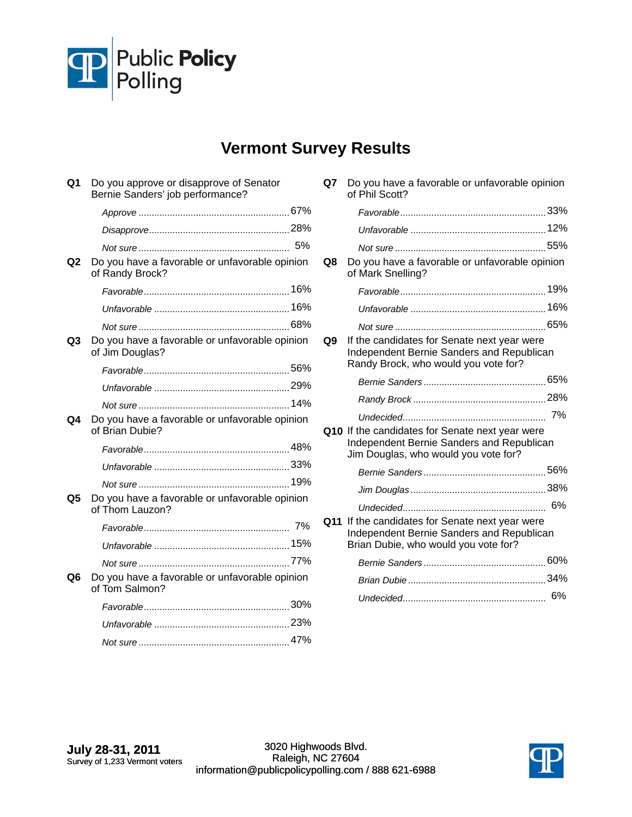

# **Vermont Survey Results**

| Q1             | Do you approve or disapprove of Senator<br>Bernie Sanders' job performance? |  |
|----------------|-----------------------------------------------------------------------------|--|
|                |                                                                             |  |
|                |                                                                             |  |
|                |                                                                             |  |
| Q2             | Do you have a favorable or unfavorable opinion<br>of Randy Brock?           |  |
|                |                                                                             |  |
|                |                                                                             |  |
|                |                                                                             |  |
| Q3             | Do you have a favorable or unfavorable opinion<br>of Jim Douglas?           |  |
|                |                                                                             |  |
|                |                                                                             |  |
|                |                                                                             |  |
| Q4             | Do you have a favorable or unfavorable opinion<br>of Brian Dubie?           |  |
|                |                                                                             |  |
|                |                                                                             |  |
|                |                                                                             |  |
| Q5             | Do you have a favorable or unfavorable opinion<br>of Thom Lauzon?           |  |
|                |                                                                             |  |
|                |                                                                             |  |
|                |                                                                             |  |
| Q <sub>6</sub> | Do you have a favorable or unfavorable opinion<br>of Tom Salmon?            |  |
|                |                                                                             |  |
|                |                                                                             |  |
|                |                                                                             |  |
|                |                                                                             |  |

|    |                                                                                                                                      | 12% |
|----|--------------------------------------------------------------------------------------------------------------------------------------|-----|
|    |                                                                                                                                      |     |
| Q8 | Do you have a favorable or unfavorable opinion<br>of Mark Snelling?                                                                  |     |
|    |                                                                                                                                      |     |
|    |                                                                                                                                      |     |
|    |                                                                                                                                      |     |
| Q9 | If the candidates for Senate next year were<br>Independent Bernie Sanders and Republican<br>Randy Brock, who would you vote for?     |     |
|    |                                                                                                                                      |     |
|    |                                                                                                                                      |     |
|    |                                                                                                                                      |     |
|    | Q10 If the candidates for Senate next year were<br>Independent Bernie Sanders and Republican<br>Jim Douglas, who would you vote for? |     |
|    |                                                                                                                                      |     |
|    |                                                                                                                                      |     |
|    |                                                                                                                                      |     |
|    | Q11 If the candidates for Senate next year were<br>Independent Bernie Sanders and Republican<br>Brian Dubie, who would you vote for? |     |
|    |                                                                                                                                      |     |
|    |                                                                                                                                      |     |

*Undecided* 6% .......................................................

**Q7** Do you have a favorable or unfavorable opinion

of Phil Scott?

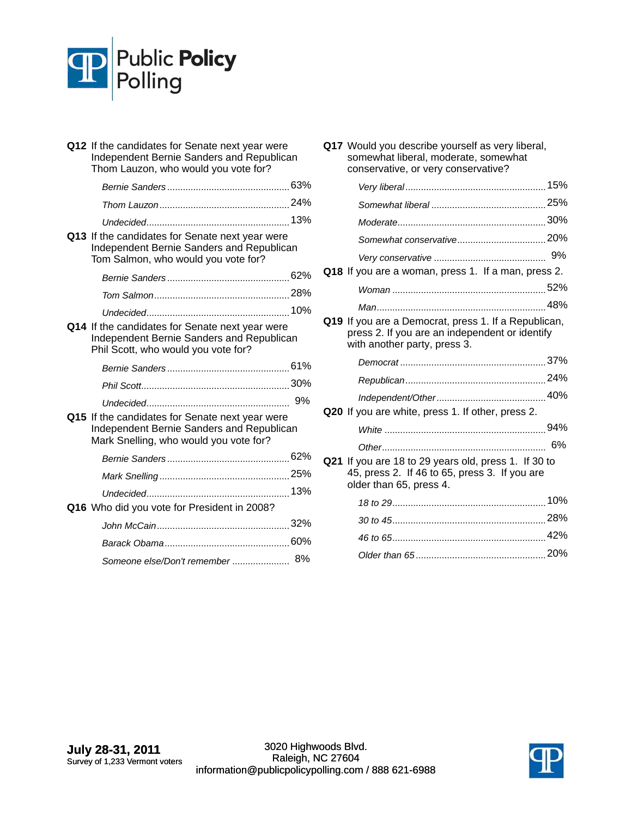

| Q12 If the candidates for Senate next year were<br>Independent Bernie Sanders and Republican<br>Thom Lauzon, who would you vote for?   |  |
|----------------------------------------------------------------------------------------------------------------------------------------|--|
|                                                                                                                                        |  |
|                                                                                                                                        |  |
|                                                                                                                                        |  |
| Q13 If the candidates for Senate next year were<br>Independent Bernie Sanders and Republican<br>Tom Salmon, who would you vote for?    |  |
|                                                                                                                                        |  |
|                                                                                                                                        |  |
|                                                                                                                                        |  |
| Q14 If the candidates for Senate next year were<br>Independent Bernie Sanders and Republican<br>Phil Scott, who would you vote for?    |  |
|                                                                                                                                        |  |
|                                                                                                                                        |  |
|                                                                                                                                        |  |
| Q15 If the candidates for Senate next year were<br>Independent Bernie Sanders and Republican<br>Mark Snelling, who would you vote for? |  |
|                                                                                                                                        |  |
|                                                                                                                                        |  |
|                                                                                                                                        |  |
| Q16 Who did you vote for President in 2008?                                                                                            |  |
|                                                                                                                                        |  |
|                                                                                                                                        |  |
| Someone else/Don't remember  8%                                                                                                        |  |

**Q17** Would you describe yourself as very liberal, somewhat liberal, moderate, somewhat conservative, or very conservative?

| Q18 If you are a woman, press 1. If a man, press 2.                                                                                    |  |
|----------------------------------------------------------------------------------------------------------------------------------------|--|
|                                                                                                                                        |  |
|                                                                                                                                        |  |
| Q19 If you are a Democrat, press 1. If a Republican,<br>press 2. If you are an independent or identify<br>with another party, press 3. |  |
|                                                                                                                                        |  |
|                                                                                                                                        |  |
|                                                                                                                                        |  |
| Q20 If you are white, press 1. If other, press 2.                                                                                      |  |
|                                                                                                                                        |  |
|                                                                                                                                        |  |
| Q21 If you are 18 to 29 years old, press 1. If 30 to<br>45, press 2. If 46 to 65, press 3. If you are<br>older than 65, press 4.       |  |
|                                                                                                                                        |  |
|                                                                                                                                        |  |
|                                                                                                                                        |  |
|                                                                                                                                        |  |
|                                                                                                                                        |  |

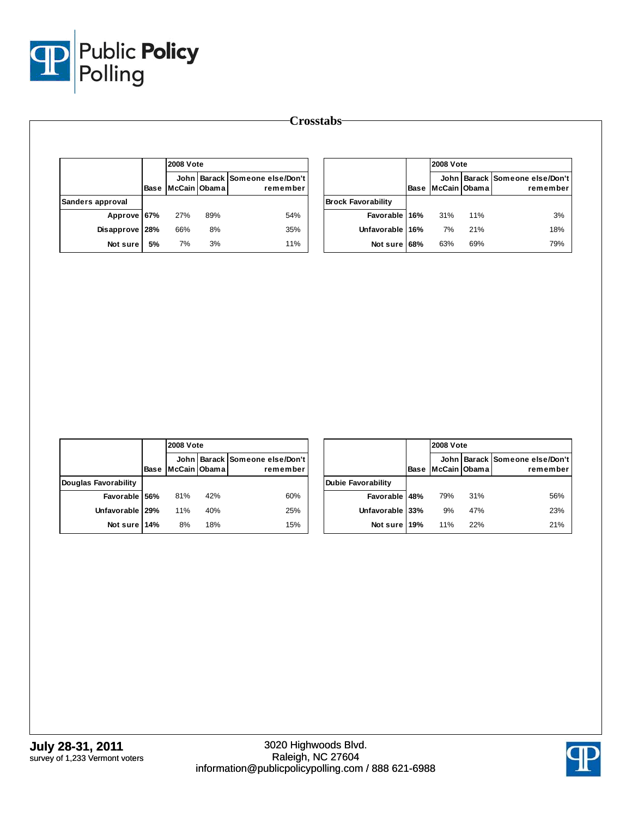

|                  |      | <b>2008 Vote</b>       |     |                                       |
|------------------|------|------------------------|-----|---------------------------------------|
|                  | Base | John I<br>McCain Obama |     | Barack Someone else/Don't<br>remember |
| Sanders approval |      |                        |     |                                       |
| Approve 67%      |      | 27%                    | 89% | 54%                                   |
| Disapprove       | 28%  | 66%                    | 8%  | 35%                                   |
| Not sure         | 5%   | 7%                     | 3%  | 11%                                   |

|                           |      | <b>2008 Vote</b> |     |                                            |
|---------------------------|------|------------------|-----|--------------------------------------------|
|                           | Base | McCain Obama     |     | John Barack Someone else/Don't<br>remember |
| <b>Brock Favorability</b> |      |                  |     |                                            |
| Favorable 16%             |      | 31%              | 11% | 3%                                         |
| Unfavorable 16%           |      | 7%               | 21% | 18%                                        |
| Not sure                  | 68%  | 63%              | 69% | 79%                                        |

|                      |      |              | <b>2008 Vote</b> |                                            |  |
|----------------------|------|--------------|------------------|--------------------------------------------|--|
|                      | Base | McCain Obama |                  | John Barack Someone else/Don't<br>remember |  |
| Douglas Favorability |      |              |                  |                                            |  |
| Favorable 56%        |      | 81%          | 42%              | 60%                                        |  |
| Unfavorable   29%    |      | 11%          | 40%              | 25%                                        |  |
| Not sure 14%         |      | 8%           | 18%              | 15%                                        |  |

|                           |      |              | <b>2008 Vote</b> |                                            |  |  |
|---------------------------|------|--------------|------------------|--------------------------------------------|--|--|
|                           | Base | McCain Obama |                  | John Barack Someone else/Don't<br>remember |  |  |
| <b>Dubie Favorability</b> |      |              |                  |                                            |  |  |
| Favorable 48%             |      | 79%          | 31%              | 56%                                        |  |  |
| Unfavorable 33%           |      | 9%           | 47%              | 23%                                        |  |  |
| Not sure 19%              |      | 11%          | 22%              | 21%                                        |  |  |

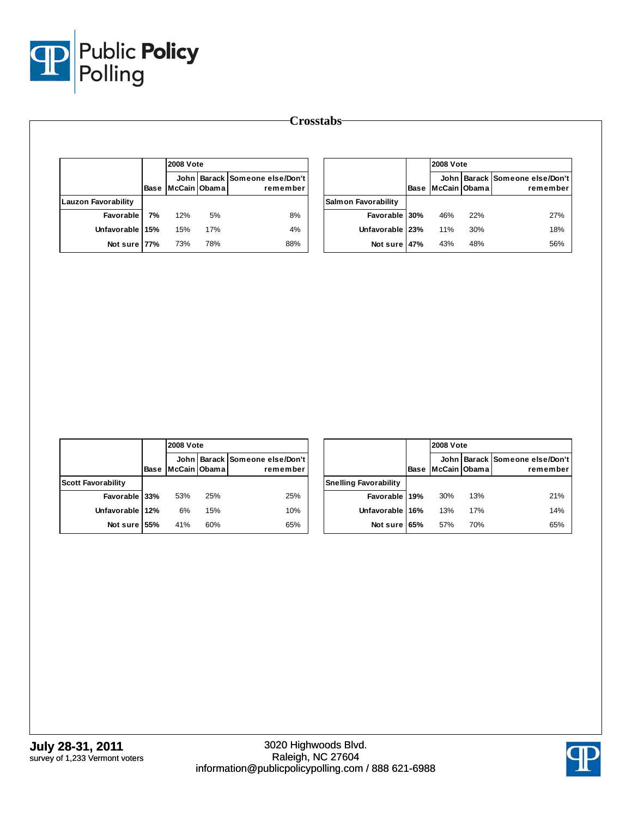

|                            |      |              | <b>2008 Vote</b> |                                            |  |  |
|----------------------------|------|--------------|------------------|--------------------------------------------|--|--|
|                            | Base | McCain Obama |                  | John Barack Someone else/Don't<br>remember |  |  |
| <b>Lauzon Favorability</b> |      |              |                  |                                            |  |  |
| Favorable I                | 7%   | 12%          | 5%               | 8%                                         |  |  |
| Unfavorable 15%            |      | 15%          | 17%              | 4%                                         |  |  |
| Not sure 77%               |      | 73%          | 78%              | 88%                                        |  |  |

|                      |      | <b>2008 Vote</b> |     |                                            |
|----------------------|------|------------------|-----|--------------------------------------------|
|                      | Base | McCain Obama     |     | John Barack Someone else/Don't<br>remember |
| Salm on Favorability |      |                  |     |                                            |
| Favorable 30%        |      | 46%              | 22% | 27%                                        |
| Unfavorable 23%      |      | 11%              | 30% | 18%                                        |
| Not sure 47%         |      | 43%              | 48% | 56%                                        |

|                           |      | <b>2008 Vote</b> |     |                                            |
|---------------------------|------|------------------|-----|--------------------------------------------|
|                           | Base | McCain Obama     |     | John Barack Someone else/Don't<br>remember |
| <b>Scott Favorability</b> |      |                  |     |                                            |
| Favorable 33%             |      | 53%              | 25% | 25%                                        |
| Unfavorable 12%           |      | 6%               | 15% | 10%                                        |
| Not sure 55%              |      | 41%              | 60% | 65%                                        |

|                              |      |              | <b>2008 Vote</b> |                                            |  |  |
|------------------------------|------|--------------|------------------|--------------------------------------------|--|--|
|                              | Base | McCain Obama |                  | John Barack Someone else/Don't<br>remember |  |  |
| <b>Snelling Favorability</b> |      |              |                  |                                            |  |  |
| Favorable 19%                |      | 30%          | 13%              | 21%                                        |  |  |
| Unfavorable 16%              |      | 13%          | 17%              | 14%                                        |  |  |
| Not sure 65%                 |      | 57%          | 70%              | 65%                                        |  |  |

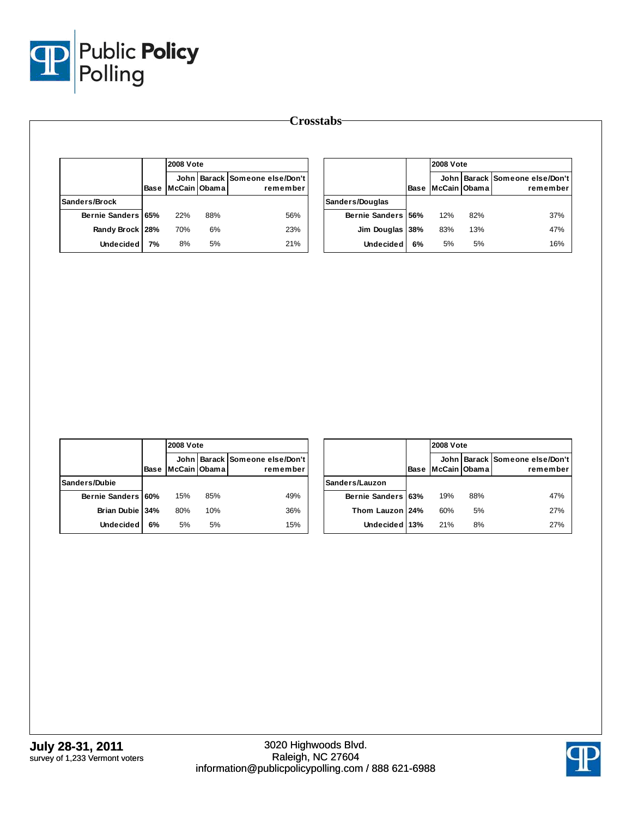

|                    |      | <b>2008 Vote</b>       |     |                                       |
|--------------------|------|------------------------|-----|---------------------------------------|
|                    | Base | John I<br>McCain Obama |     | Barack Someone else/Don't<br>remember |
| Sanders/Brock      |      |                        |     |                                       |
| Bernie Sanders 65% |      | 22%                    | 88% | 56%                                   |
| Randy Brock   28%  |      | 70%                    | 6%  | 23%                                   |
| <b>Undecided</b>   | 7%   | 8%                     | 5%  | 21%                                   |

|                    |      | <b>2008 Vote</b> |     |                                            |
|--------------------|------|------------------|-----|--------------------------------------------|
|                    | Base | McCain Obama     |     | John Barack Someone else/Don't<br>remember |
| Sanders/Douglas    |      |                  |     |                                            |
| Bernie Sanders 56% |      | 12%              | 82% | 37%                                        |
| Jim Douglas        | 38%  | 83%              | 13% | 47%                                        |
| <b>Undecided</b>   | 6%   | 5%               | 5%  | 16%                                        |

|                    |      |              | <b>2008 Vote</b> |                                            |  |  |
|--------------------|------|--------------|------------------|--------------------------------------------|--|--|
|                    | Base | McCain Obama |                  | John Barack Someone else/Don't<br>remember |  |  |
| Sanders/Dubie      |      |              |                  |                                            |  |  |
| Bernie Sanders 60% |      | 15%          | 85%              | 49%                                        |  |  |
| Brian Dubie 34%    |      | 80%          | 10%              | 36%                                        |  |  |
| <b>Undecided</b>   | 6%   | 5%           | 5%               | 15%                                        |  |  |

|                    |      |              | <b>2008 Vote</b> |                                            |  |  |  |  |
|--------------------|------|--------------|------------------|--------------------------------------------|--|--|--|--|
|                    | Base | McCain Obama |                  | John Barack Someone else/Don't<br>remember |  |  |  |  |
| Sanders/Lauzon     |      |              |                  |                                            |  |  |  |  |
| Bernie Sanders 63% |      | 19%          | 88%              | 47%                                        |  |  |  |  |
| Thom Lauzon 24%    |      | 60%          | 5%               | 27%                                        |  |  |  |  |
| Undecided 13%      |      | 21%          | 8%               | 27%                                        |  |  |  |  |

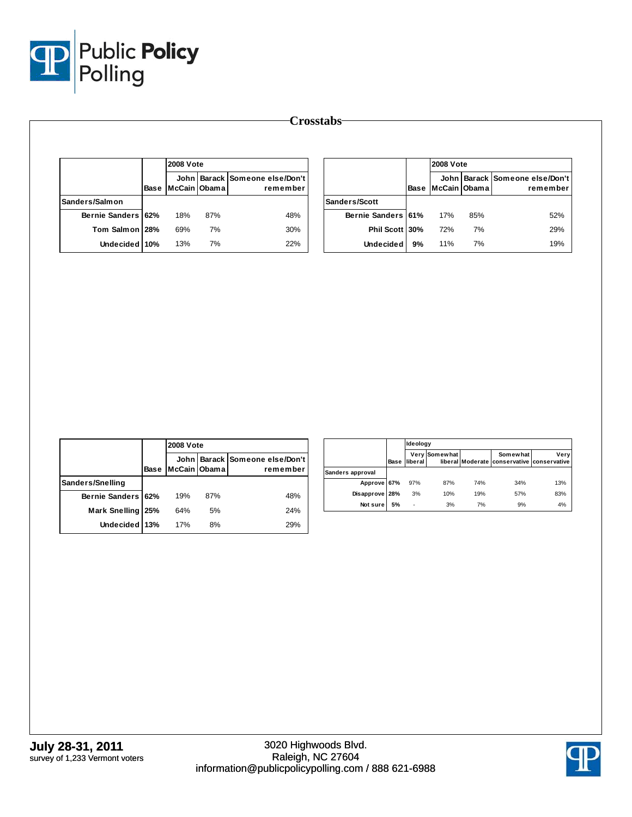

|                    |      | <b>2008 Vote</b> |              |                                            |  |  |
|--------------------|------|------------------|--------------|--------------------------------------------|--|--|
|                    | Base |                  | McCain Obama | John Barack Someone else/Don't<br>remember |  |  |
| Sanders/Salmon     |      |                  |              |                                            |  |  |
| Bernie Sanders 62% |      | 18%              | 87%          | 48%                                        |  |  |
| Tom Salmon 28%     |      | 69%              | 7%           | 30%                                        |  |  |
| Undecided 10%      |      | 13%              | 7%           | 22%                                        |  |  |

|                    |             | <b>2008 Vote</b> |     |                                            |  |  |
|--------------------|-------------|------------------|-----|--------------------------------------------|--|--|
|                    | <b>Base</b> | McCain Obama     |     | John Barack Someone else/Don't<br>remember |  |  |
| Sanders/Scott      |             |                  |     |                                            |  |  |
| Bernie Sanders 61% |             | 17%              | 85% | 52%                                        |  |  |
| Phil Scott 30%     |             | 72%              | 7%  | 29%                                        |  |  |
| <b>Undecided</b>   | 9%          | 11%              | 7%  | 19%                                        |  |  |

|                      |      |              | <b>2008 Vote</b> |                                            |  |  |  |
|----------------------|------|--------------|------------------|--------------------------------------------|--|--|--|
|                      | Base | McCain Obama |                  | John Barack Someone else/Don't<br>remember |  |  |  |
| Sanders/Snelling     |      |              |                  |                                            |  |  |  |
| Bernie Sanders 62%   |      | 19%          | 87%              | 48%                                        |  |  |  |
| <b>Mark Snelling</b> | 25%  | 64%          | 5%               | 24%                                        |  |  |  |
| Undecided 13%        |      | 17%          | 8%               | 29%                                        |  |  |  |

|                  |      | Ideology             |               |     |                                                        |      |
|------------------|------|----------------------|---------------|-----|--------------------------------------------------------|------|
|                  | Base | liberal <sup>1</sup> | Very Somewhat |     | Somewhat<br>liberal Moderate conservative conservative | Very |
| Sanders approval |      |                      |               |     |                                                        |      |
| Approve 67%      |      | 97%                  | 87%           | 74% | 34%                                                    | 13%  |
| Disapprove 28%   |      | 3%                   | 10%           | 19% | 57%                                                    | 83%  |
| Not sure         | 5%   | ۰                    | 3%            | 7%  | 9%                                                     | 4%   |

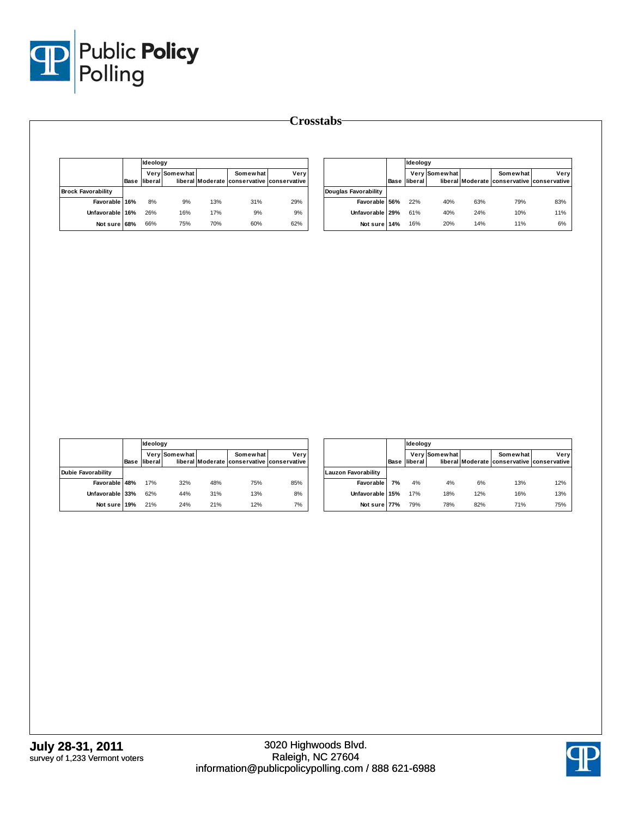

| -Crosstabs- |  |
|-------------|--|
|-------------|--|

|                           |      |         | Ideoloav      |     |                                                        |      |  |
|---------------------------|------|---------|---------------|-----|--------------------------------------------------------|------|--|
|                           | Base | liberal | Very Somewhat |     | Somewhat<br>liberal Moderate conservative conservative | Verv |  |
| <b>Brock Favorability</b> |      |         |               |     |                                                        |      |  |
| Favorable 16%             |      | 8%      | 9%            | 13% | 31%                                                    | 29%  |  |
| Unfavorable 16%           |      | 26%     | 16%           | 17% | 9%                                                     | 9%   |  |
| Not sure 68%              |      | 66%     | 75%           | 70% | 60%                                                    | 62%  |  |

|                      |      | Ideology |               |     |                                                        |      |
|----------------------|------|----------|---------------|-----|--------------------------------------------------------|------|
|                      | Base | liberal  | Very Somewhat |     | Somewhat<br>liberal Moderate conservative conservative | Verv |
| Douglas Favorability |      |          |               |     |                                                        |      |
| Favorable 56%        |      | 22%      | 40%           | 63% | 79%                                                    | 83%  |
| Unfavorable 29%      |      | 61%      | 40%           | 24% | 10%                                                    | 11%  |
| Not sure 14%         |      | 16%      | 20%           | 14% | 11%                                                    | 6%   |

|                           |      | <b>Ideology</b> |               |     |                                                        |      |  |
|---------------------------|------|-----------------|---------------|-----|--------------------------------------------------------|------|--|
|                           | Base | liberal         | Very Somewhat |     | Somewhat<br>liberal Moderate conservative conservative | Very |  |
| <b>Dubie Favorability</b> |      |                 |               |     |                                                        |      |  |
| Favorable 48%             |      | 17%             | 32%           | 48% | 75%                                                    | 85%  |  |
| Unfavorable 33%           |      | 62%             | 44%           | 31% | 13%                                                    | 8%   |  |
| Not sure 19%              |      | 21%             | 24%           | 21% | 12%                                                    | 7%   |  |

|                            |      |         | Ideology      |     |                                                        |      |  |  |
|----------------------------|------|---------|---------------|-----|--------------------------------------------------------|------|--|--|
|                            | Base | liberal | Very Somewhat |     | Somewhat<br>liberal Moderate conservative conservative | Verv |  |  |
| <b>Lauzon Favorability</b> |      |         |               |     |                                                        |      |  |  |
| Favorable                  | 7%   | 4%      | 4%            | 6%  | 13%                                                    | 12%  |  |  |
| Unfavorable 15%            |      | 17%     | 18%           | 12% | 16%                                                    | 13%  |  |  |
| Not sure 77%               |      | 79%     | 78%           | 82% | 71%                                                    | 75%  |  |  |

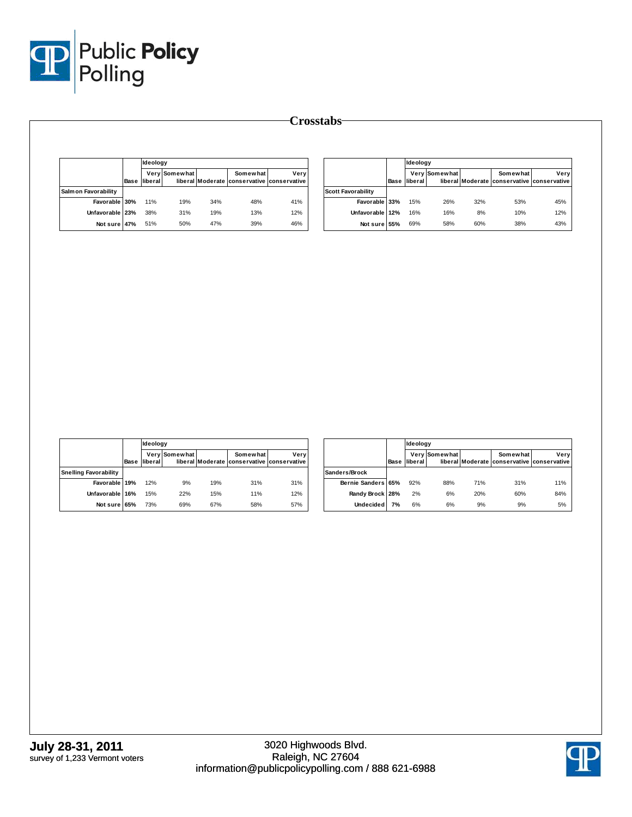

|                      |                     |               |     |          |                                                    |                           | Ideology            |               |     |                                                        |      |
|----------------------|---------------------|---------------|-----|----------|----------------------------------------------------|---------------------------|---------------------|---------------|-----|--------------------------------------------------------|------|
|                      | <b>Base liberal</b> | Very Somewhat |     | Somewhat | Very<br>liberal Moderate conservative conservative |                           | <b>Base liberal</b> | Very Somewhat |     | Somewhat<br>liberal Moderate conservative conservative | Very |
| Salm on Favorability |                     |               |     |          |                                                    | <b>Scott Favorability</b> |                     |               |     |                                                        |      |
| Favorable 30%        | 11%                 | 19%           | 34% | 48%      | 41%                                                | Favorable 33%             | 15%                 | 26%           | 32% | 53%                                                    | 45%  |
| Unfavorable 23%      | 38%                 | 31%           | 19% | 13%      | 12%                                                | Unfavorable 12%           | 16%                 | 16%           | 8%  | 10%                                                    | 12%  |
| Not sure 47%         | 51%                 | 50%           | 47% | 39%      | 46%                                                | Not sure 55%              | 69%                 | 58%           | 60% | 38%                                                    | 43%  |

|                              |      |         | Ideoloav      |     |                                                        |      |  |  |
|------------------------------|------|---------|---------------|-----|--------------------------------------------------------|------|--|--|
|                              | Base | liberal | Very Somewhat |     | Somewhat<br>liberal Moderate conservative conservative | Very |  |  |
| <b>Snelling Favorability</b> |      |         |               |     |                                                        |      |  |  |
| Favorable 19%                |      | 12%     | 9%            | 19% | 31%                                                    | 31%  |  |  |
| Unfavorable 16%              |      | 15%     | 22%           | 15% | 11%                                                    | 12%  |  |  |
| Not sure 65%                 |      | 73%     | 69%           | 67% | 58%                                                    | 57%  |  |  |

|                    |      |         | Ideology      |     |                                                        |      |  |  |
|--------------------|------|---------|---------------|-----|--------------------------------------------------------|------|--|--|
|                    | Base | liberal | Very Somewhat |     | Somewhat<br>liberal Moderate conservative conservative | Very |  |  |
| Sanders/Brock      |      |         |               |     |                                                        |      |  |  |
| Bernie Sanders 65% |      | 92%     | 88%           | 71% | 31%                                                    | 11%  |  |  |
| Randy Brock 28%    |      | 2%      | 6%            | 20% | 60%                                                    | 84%  |  |  |
| <b>Undecided</b>   | 7%   | 6%      | 6%            | 9%  | 9%                                                     | 5%   |  |  |

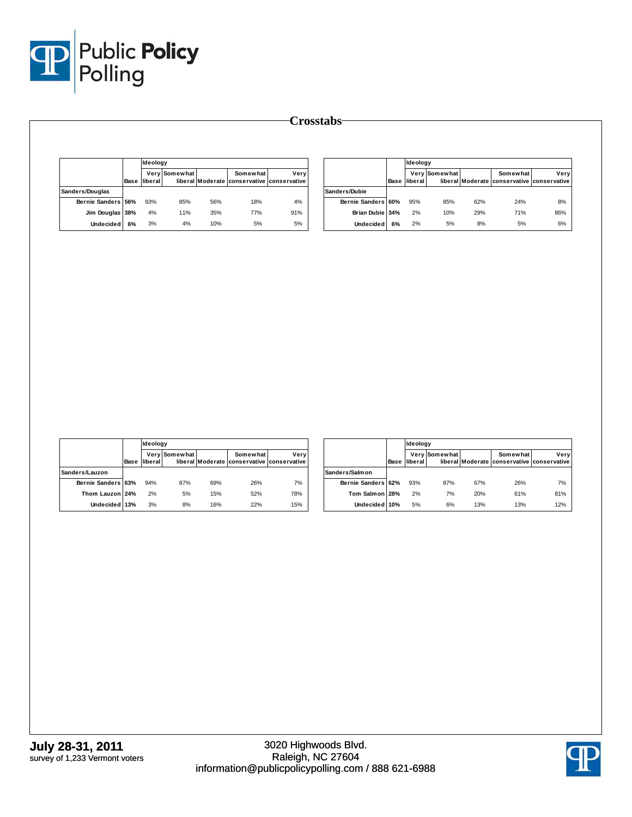

|                    |      | Ideoloav |               |     |                                                        |      |
|--------------------|------|----------|---------------|-----|--------------------------------------------------------|------|
|                    | Base | liberal  | Very Somewhat |     | Somewhat<br>liberal Moderate conservative conservative | Verv |
| Sanders/Douglas    |      |          |               |     |                                                        |      |
| Bernie Sanders 56% |      | 93%      | 85%           | 56% | 18%                                                    | 4%   |
| Jim Douglas        | 38%  | 4%       | 11%           | 35% | 77%                                                    | 91%  |
| <b>Undecided</b>   | 6%   | 3%       | 4%            | 10% | 5%                                                     | 5%   |

|                    |      | Ideology |               |     |                                                        |      |
|--------------------|------|----------|---------------|-----|--------------------------------------------------------|------|
|                    | Base | liberal  | Very Somewhat |     | Somewhat<br>liberal Moderate conservative conservative | Verv |
| Sanders/Dubie      |      |          |               |     |                                                        |      |
| Bernie Sanders 60% |      | 95%      | 85%           | 62% | 24%                                                    | 8%   |
| Brian Dubie 34%    |      | 2%       | 10%           | 29% | 71%                                                    | 86%  |
| <b>Undecided</b>   | 6%   | 2%       | 5%            | 8%  | 5%                                                     | 6%   |

|                    |      |         | Ideology      |     |                                                        |      |  |  |
|--------------------|------|---------|---------------|-----|--------------------------------------------------------|------|--|--|
|                    | Base | liberal | Very Somewhat |     | Somewhat<br>liberal Moderate conservative conservative | Very |  |  |
| Sanders/Lauzon     |      |         |               |     |                                                        |      |  |  |
| Bernie Sanders 63% |      | 94%     | 87%           | 69% | 26%                                                    | 7%   |  |  |
| Thom Lauzon 24%    |      | 2%      | 5%            | 15% | 52%                                                    | 78%  |  |  |
| Undecided 13%      |      | 3%      | 8%            | 16% | 22%                                                    | 15%  |  |  |

|                    |      |         | Ideology      |     |                                                        |      |  |  |
|--------------------|------|---------|---------------|-----|--------------------------------------------------------|------|--|--|
|                    | Base | liberal | Very Somewhat |     | Somewhat<br>liberal Moderate conservative conservative | Very |  |  |
| Sanders/Salmon     |      |         |               |     |                                                        |      |  |  |
| Bernie Sanders 62% |      | 93%     | 87%           | 67% | 26%                                                    | 7%   |  |  |
| Tom Salm on 28%    |      | 2%      | 7%            | 20% | 61%                                                    | 81%  |  |  |
| Undecided 10%      |      | 5%      | 6%            | 13% | 13%                                                    | 12%  |  |  |

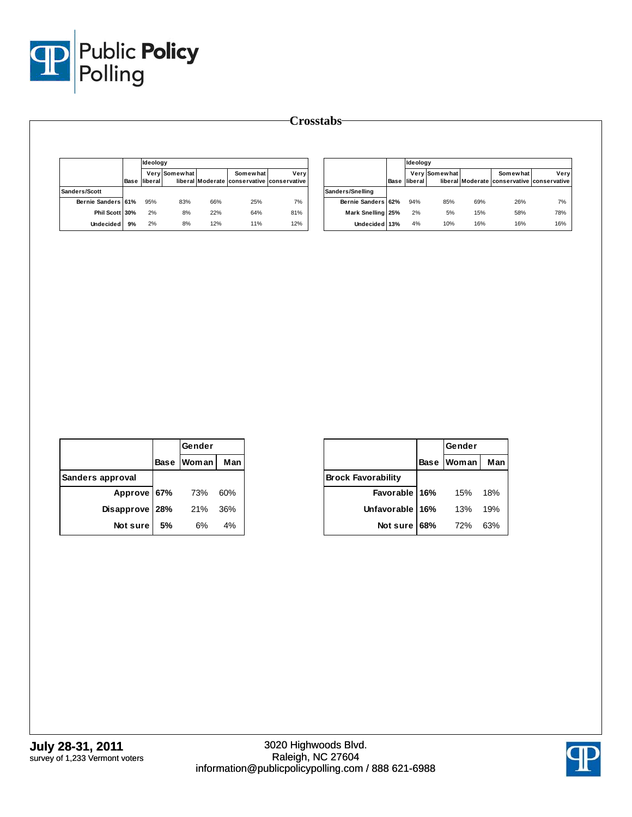

|                    |      | <b>Ideology</b> |               |     |                                                        |      |
|--------------------|------|-----------------|---------------|-----|--------------------------------------------------------|------|
|                    | Base | liberal         | Very Somewhat |     | Somewhat<br>liberal Moderate conservative conservative | Verv |
| Sanders/Scott      |      |                 |               |     |                                                        |      |
| Bernie Sanders 61% |      | 95%             | 83%           | 66% | 25%                                                    | 7%   |
| Phil Scott 30%     |      | 2%              | 8%            | 22% | 64%                                                    | 81%  |
| <b>Undecided</b>   | 9%   | 2%              | 8%            | 12% | 11%                                                    | 12%  |

|                    |      |         | Ideoloav      |     |                                                        |      |  |
|--------------------|------|---------|---------------|-----|--------------------------------------------------------|------|--|
|                    | Base | liberal | Very Somewhat |     | Somewhat<br>liberal Moderate conservative conservative | Verv |  |
| Sanders/Snelling   |      |         |               |     |                                                        |      |  |
| Bernie Sanders 62% |      | 94%     | 85%           | 69% | 26%                                                    | 7%   |  |
| Mark Snelling 25%  |      | 2%      | 5%            | 15% | 58%                                                    | 78%  |  |
| Undecided 13%      |      | 4%      | 10%           | 16% | 16%                                                    | 16%  |  |

|                  |     | Gender     |     |
|------------------|-----|------------|-----|
|                  |     | Base Woman | Man |
| Sanders approval |     |            |     |
| Approve 67%      |     | 73%        | 60% |
| Disapprove       | 28% | 21%        | 36% |
| Not sure         | 5%  | 6%         | 4%  |

|                           |             | Gender |     |
|---------------------------|-------------|--------|-----|
|                           | <b>Base</b> | Woman  | Man |
| <b>Brock Favorability</b> |             |        |     |
| Favorable 16%             |             | 15%    | 18% |
| Unfavorable 16%           |             | 13%    | 19% |
| Not sure                  | 68%         | 72%    | 63% |

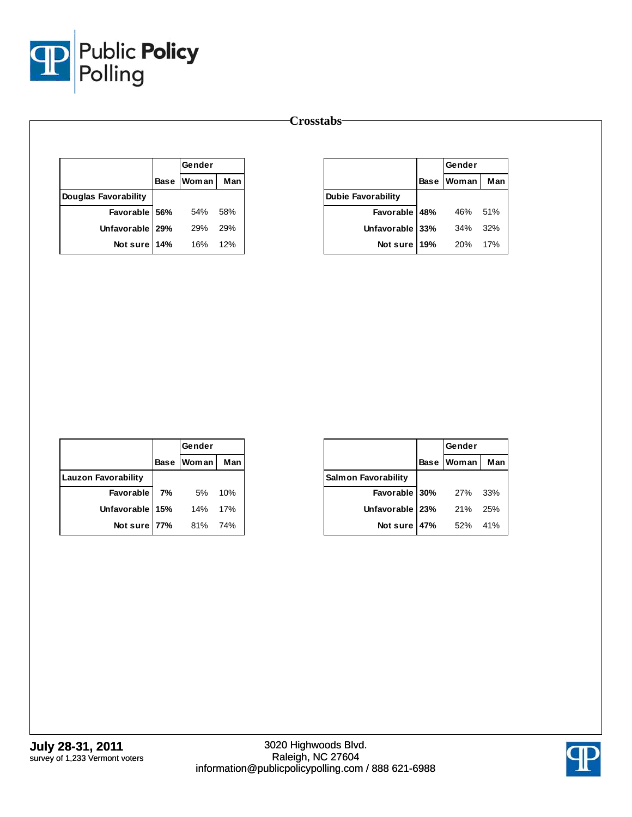

|                      | Gender            |     |
|----------------------|-------------------|-----|
|                      | <b>Base Woman</b> | Man |
| Douglas Favorability |                   |     |
| Favorable 56%        | 54%               | 58% |
| Unfavorable 29%      | <b>29%</b>        | 29% |
| Not sure 14%         | 16%               | 12% |

|                           |     | Gender       |     |
|---------------------------|-----|--------------|-----|
|                           |     | Base   Woman | Man |
| <b>Dubie Favorability</b> |     |              |     |
| Favorable 48%             |     | 46%          | 51% |
| Unfavorable 33%           |     | 34%          | 32% |
| Not sure                  | 19% | 20%          | 17% |

|                            |    | Gender       |     |
|----------------------------|----|--------------|-----|
|                            |    | Base   Woman | Man |
| <b>Lauzon Favorability</b> |    |              |     |
| <b>Favorable</b>           | 7% | 5%           | 10% |
| Unfavorable 15%            |    | 14%          | 17% |
| Not sure 77%               |    | 81%          | 74% |

|                            |             | Gender       |     |
|----------------------------|-------------|--------------|-----|
|                            | <b>Base</b> | <b>Woman</b> | Man |
| <b>Salmon Favorability</b> |             |              |     |
| Favorable 30%              |             | 27%          | 33% |
| Unfavorable   23%          |             | 21%          | 25% |
| Not sure                   | 47%         | 52%          | 41% |

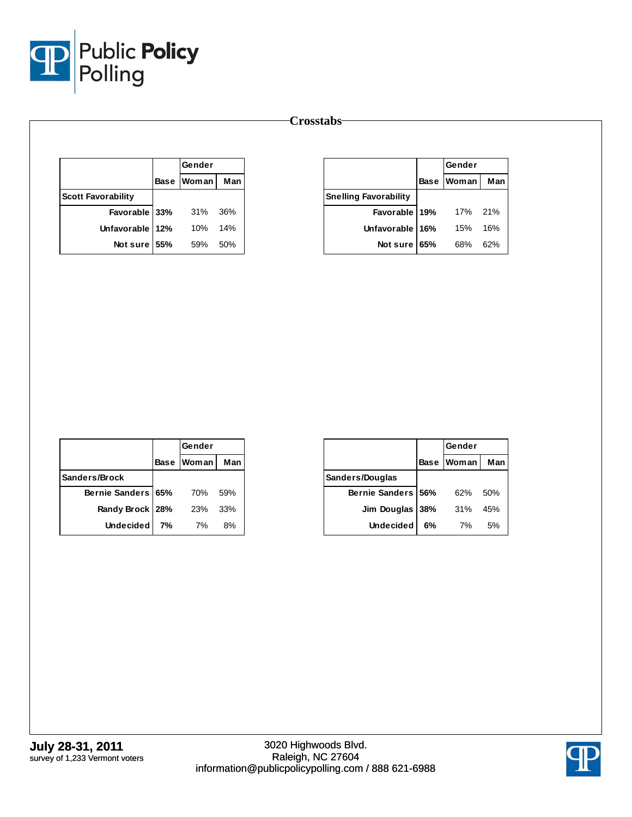

|                           | Gender       |     |
|---------------------------|--------------|-----|
|                           | Base   Woman | Man |
| <b>Scott Favorability</b> |              |     |
| Favorable 33%             | 31%          | 36% |
| Unfavorable 12%           | 10%          | 14% |
| Not sure 55%              | 59%          | 50% |

|                              |             | Gender       |     |
|------------------------------|-------------|--------------|-----|
|                              | <b>Base</b> | <b>Woman</b> | Man |
| <b>Snelling Favorability</b> |             |              |     |
| Favorable 19%                |             | 17%          | 21% |
| Unfavorable 16%              |             | 15%          | 16% |
| Not sure                     | <b>65%</b>  | 68%          | 62% |

|                    |    | Gender       |     |
|--------------------|----|--------------|-----|
|                    |    | Base   Woman | Man |
| Sanders/Brock      |    |              |     |
| Bernie Sanders 65% |    | 70%          | 59% |
| Randy Brock   28%  |    | <b>23%</b>   | 33% |
| <b>Undecided</b>   | 7% | 7%           | 8%  |

|                    | Gender      |              |     |  |
|--------------------|-------------|--------------|-----|--|
|                    | <b>Base</b> | <b>Woman</b> | Man |  |
| Sanders/Douglas    |             |              |     |  |
| Bernie Sanders 56% |             | 62%          | 50% |  |
| Jim Douglas 38%    |             | 31%          | 45% |  |
| <b>Undecided</b>   | 6%          | 7%           | 5%  |  |

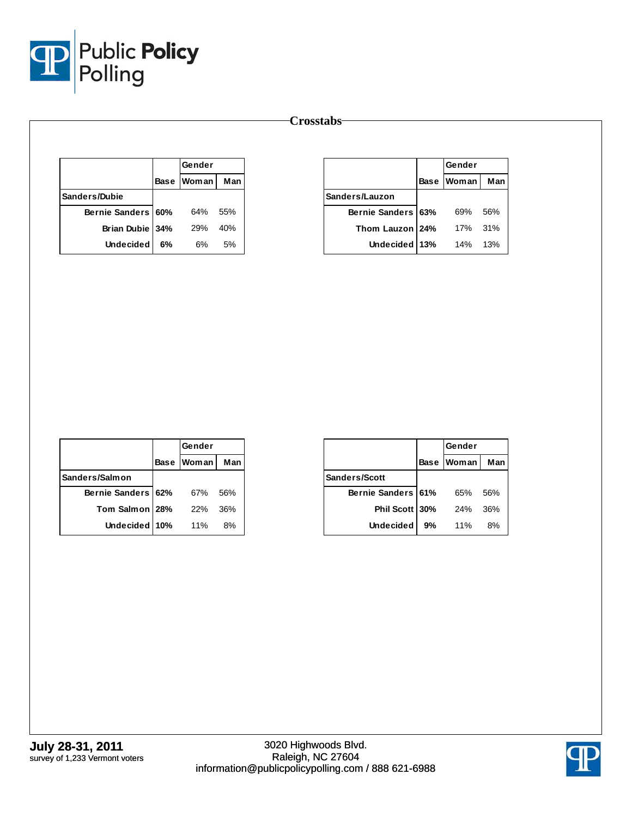

|                    |             | Gender       |      |
|--------------------|-------------|--------------|------|
|                    | <b>Base</b> | <b>Woman</b> | Man  |
| Sanders/Dubie      |             |              |      |
| Bernie Sanders 60% |             | 64%          | .55% |
| Brian Dubie 34%    |             | <b>29%</b>   | 40%  |
| <b>Undecided</b>   | 6%          | 6%           | .5%  |

|                      |             | Gender       |     |
|----------------------|-------------|--------------|-----|
|                      | <b>Base</b> | <b>Woman</b> | Man |
| Sanders/Lauzon       |             |              |     |
| Bernie Sanders   63% |             | 69%          | 56% |
| Thom Lauzon 24%      |             | 17%          | 31% |
| Undecided   13%      |             | 14%          | 13% |

|                    | Gender       |     |
|--------------------|--------------|-----|
|                    | Base   Woman | Man |
| Sanders/Salmon     |              |     |
| Bernie Sanders 62% | 67%          | 56% |
| Tom Salmon 28%     | 22%          | 36% |
| Undecided 10%      | 11%          | 8%  |

|                    |             | Gender |     |
|--------------------|-------------|--------|-----|
|                    | <b>Base</b> | Woman  | Man |
| Sanders/Scott      |             |        |     |
| Bernie Sanders 61% |             | 65%    | 56% |
| Phil Scott 30%     |             | 24%    | 36% |
| <b>Undecided</b>   | 9%          | 11%    | 8%  |

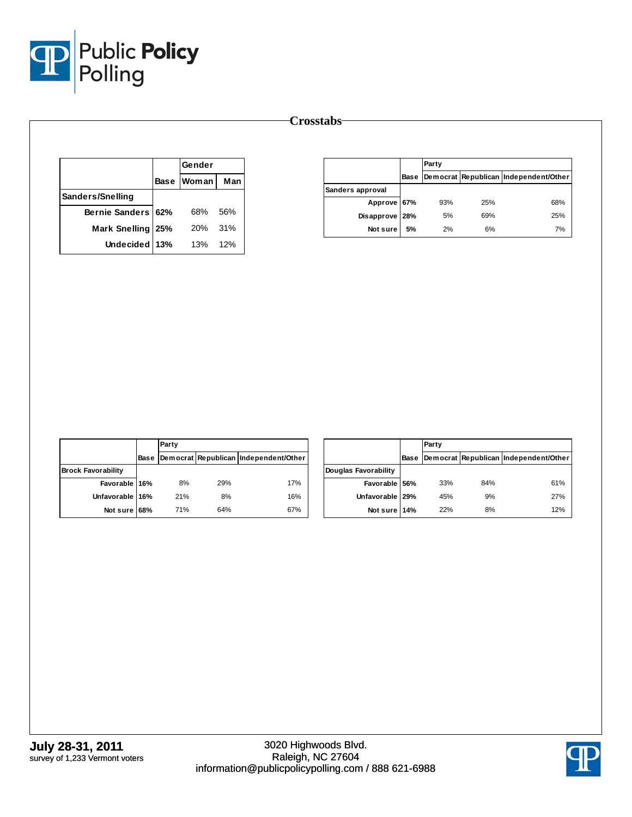

|                      |             | Gender |     |
|----------------------|-------------|--------|-----|
|                      | <b>Base</b> | Woman  | Man |
| Sanders/Snelling     |             |        |     |
| Bernie Sanders 62%   |             | 68%    | 56% |
| <b>Mark Snelling</b> | 25%         | 20%    | 31% |
| Undecided 13%        |             | 13%    | 12% |

|                  |      | Party |     |                                       |
|------------------|------|-------|-----|---------------------------------------|
|                  | Base |       |     | Democrat Republican Independent/Other |
| Sanders approval |      |       |     |                                       |
| Approve 67%      |      | 93%   | 25% | 68%                                   |
| Disapprove 28%   |      | 5%    | 69% | 25%                                   |
| Not sure         | 5%   | 2%    | 6%  | 7%                                    |

|                           |      | Party |     |                                       |  |  |  |  |
|---------------------------|------|-------|-----|---------------------------------------|--|--|--|--|
|                           | Base |       |     | Democrat Republican Independent/Other |  |  |  |  |
| <b>Brock Favorability</b> |      |       |     |                                       |  |  |  |  |
| Favorable 16%             |      | 8%    | 29% | 17%                                   |  |  |  |  |
| Unfavorable 16%           |      | 21%   | 8%  | 16%                                   |  |  |  |  |
| Not sure                  | 68%  | 71%   | 64% | 67%                                   |  |  |  |  |

|                      |             | Party |     |                                       |
|----------------------|-------------|-------|-----|---------------------------------------|
|                      | <b>Base</b> |       |     | Democrat Republican Independent/Other |
| Douglas Favorability |             |       |     |                                       |
| Favorable 56%        |             | 33%   | 84% | 61%                                   |
| Unfavorable 29%      |             | 45%   | 9%  | 27%                                   |
| Not sure 14%         |             | 22%   | 8%  | 12%                                   |

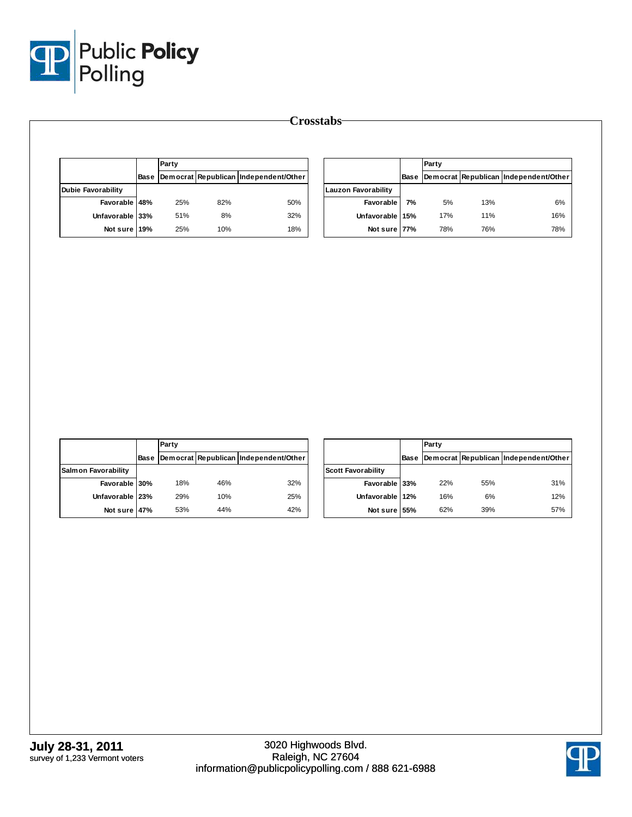

|                           | Party |     |                                            |                            |    | Party |     |                                            |
|---------------------------|-------|-----|--------------------------------------------|----------------------------|----|-------|-----|--------------------------------------------|
|                           |       |     | Base Democrat Republican Independent/Other |                            |    |       |     | Base Democrat Republican Independent/Other |
| <b>Dubie Favorability</b> |       |     |                                            | <b>Lauzon Favorability</b> |    |       |     |                                            |
| Favorable 48%             | 25%   | 82% | 50%                                        | <b>Favorable</b>           | 7% | 5%    | 13% | 6%                                         |
| Unfavorable 33%           | 51%   | 8%  | 32%                                        | Unfavorable 15%            |    | 17%   | 11% | 16%                                        |
| Not sure 19%              | 25%   | 10% | 18%                                        | Not sure 77%               |    | 78%   | 76% | 78%                                        |

|                      |      | Party |     |                                       |
|----------------------|------|-------|-----|---------------------------------------|
|                      | Base |       |     | Democrat Republican Independent/Other |
| Salm on Favorability |      |       |     |                                       |
| Favorable 30%        |      | 18%   | 46% | 32%                                   |
| Unfavorable 23%      |      | 29%   | 10% | 25%                                   |
| Not sure 47%         |      | 53%   | 44% | 42%                                   |

|                           |             | Party |     |                                       |
|---------------------------|-------------|-------|-----|---------------------------------------|
|                           | <b>Base</b> |       |     | Democrat Republican Independent/Other |
| <b>Scott Favorability</b> |             |       |     |                                       |
| Favorable 33%             |             | 22%   | 55% | 31%                                   |
| Unfavorable 12%           |             | 16%   | 6%  | 12%                                   |
| Not sure 55%              |             | 62%   | 39% | 57%                                   |

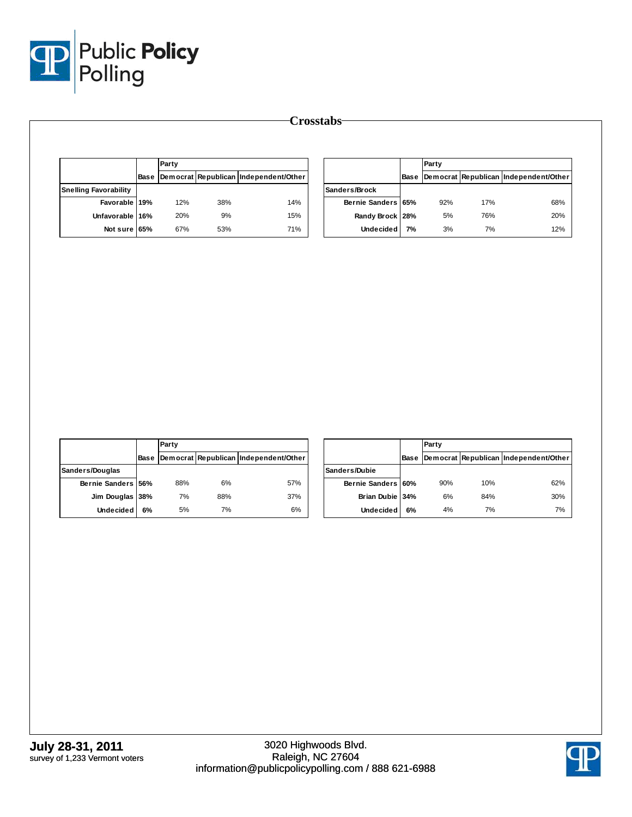

|                              | Party |     |                                            |                    |    | Party |     |                                            |
|------------------------------|-------|-----|--------------------------------------------|--------------------|----|-------|-----|--------------------------------------------|
|                              |       |     | Base Democrat Republican Independent/Other |                    |    |       |     | Base Democrat Republican Independent/Other |
| <b>Snelling Favorability</b> |       |     |                                            | Sanders/Brock      |    |       |     |                                            |
| Favorable 19%                | 12%   | 38% | 14%                                        | Bernie Sanders 65% |    | 92%   | 17% | 68%                                        |
| Unfavorable 16%              | 20%   | 9%  | 15%                                        | Randy Brock 28%    |    | 5%    | 76% | 20%                                        |
| Not sure 65%                 | 67%   | 53% | 71%                                        | <b>Undecided</b>   | 7% | 3%    | 7%  | 12%                                        |

|                    |      | Party |     |                                       |
|--------------------|------|-------|-----|---------------------------------------|
|                    | Base |       |     | Democrat Republican Independent/Other |
| Sanders/Douglas    |      |       |     |                                       |
| Bernie Sanders 56% |      | 88%   | 6%  | 57%                                   |
| Jim Douglas 38%    |      | 7%    | 88% | 37%                                   |
| <b>Undecided</b>   | 6%   | 5%    | 7%  | 6%                                    |

|                    |             | Party |     |                                       |
|--------------------|-------------|-------|-----|---------------------------------------|
|                    | <b>Base</b> |       |     | Democrat Republican Independent/Other |
| Sanders/Dubie      |             |       |     |                                       |
| Bernie Sanders 60% |             | 90%   | 10% | 62%                                   |
| Brian Dubie 34%    |             | 6%    | 84% | 30%                                   |
| <b>Undecided</b>   | 6%          | 4%    | 7%  | 7%                                    |

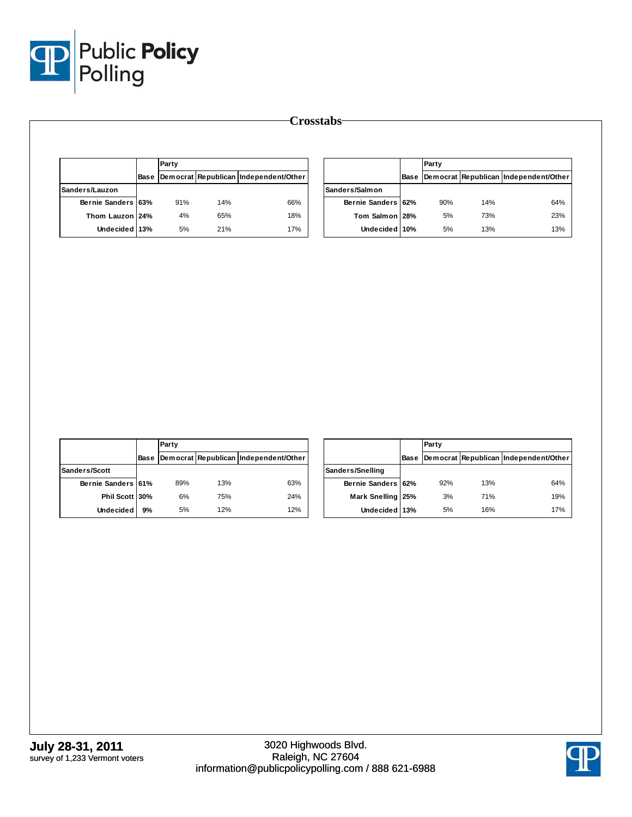

|                    |      | Party |     |                                       |                    | Party |     |                                            |
|--------------------|------|-------|-----|---------------------------------------|--------------------|-------|-----|--------------------------------------------|
|                    | Base |       |     | Democrat Republican Independent/Other |                    |       |     | Base Democrat Republican Independent/Other |
| Sanders/Lauzon     |      |       |     |                                       | Sanders/Salmon     |       |     |                                            |
| Bernie Sanders 63% |      | 91%   | 14% | 66%                                   | Bernie Sanders 62% | 90%   | 14% | 64%                                        |
| Thom Lauzon 24%    |      | 4%    | 65% | 18%                                   | Tom Salmon 28%     | 5%    | 73% | 23%                                        |
| Undecided 13%      |      | 5%    | 21% | 17%                                   | Undecided 10%      | 5%    | 13% | 13%                                        |

|                    |      | Party |     |                                       |
|--------------------|------|-------|-----|---------------------------------------|
|                    | Base |       |     | Democrat Republican Independent/Other |
| Sanders/Scott      |      |       |     |                                       |
| Bernie Sanders 61% |      | 89%   | 13% | 63%                                   |
| Phil Scott 30%     |      | 6%    | 75% | 24%                                   |
| <b>Undecided</b>   | 9%   | 5%    | 12% | 12%                                   |

|                    |             | Party |     |                                       |  |
|--------------------|-------------|-------|-----|---------------------------------------|--|
|                    | <b>Base</b> |       |     | Democrat Republican Independent/Other |  |
| Sanders/Snelling   |             |       |     |                                       |  |
| Bernie Sanders 62% |             | 92%   | 13% | 64%                                   |  |
| Mark Snelling 25%  |             | 3%    | 71% | 19%                                   |  |
| Undecided 13%      |             | 5%    | 16% | 17%                                   |  |

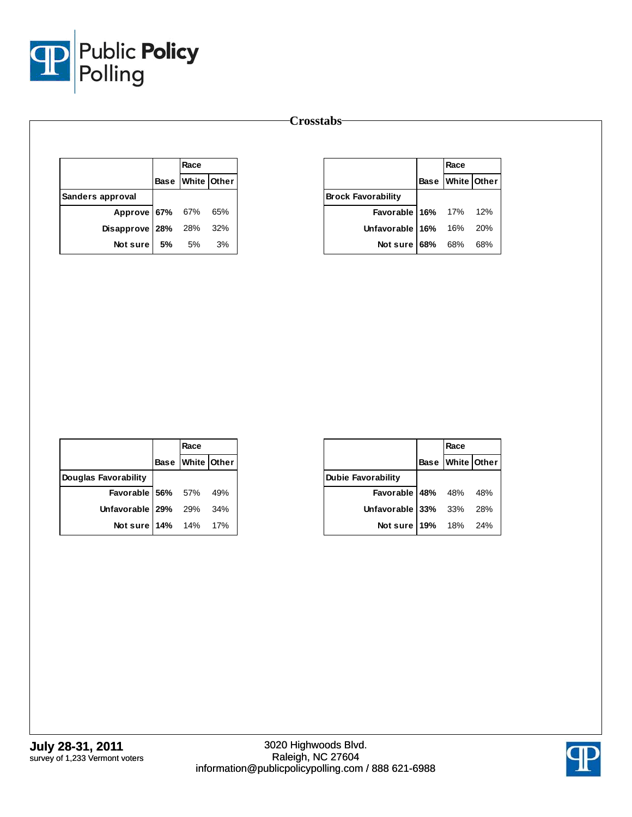

|                   | Race             |       |
|-------------------|------------------|-------|
|                   | Base White Other |       |
| Sanders approval  |                  |       |
| Approve 67% 67%   |                  | 65%   |
| Disapprove $ 28%$ | 28%              | - 32% |
| Notsure l         | 5% 5%            | 3%    |

|                           | Race             |  |
|---------------------------|------------------|--|
|                           | Base White Other |  |
| <b>Brock Favorability</b> |                  |  |
| Favorable 16% 17% 12%     |                  |  |
| Unfavorable 16% 16% 20%   |                  |  |
| Not sure 68% 68% 68%      |                  |  |

|                             | Race             |  |
|-----------------------------|------------------|--|
|                             | Base White Other |  |
| <b>Douglas Favorability</b> |                  |  |
| Favorable 56% 57% 49%       |                  |  |
| Unfavorable 29% 29% 34%     |                  |  |
| Not sure 14% 14% 17%        |                  |  |

|                                                                | Race |                  |
|----------------------------------------------------------------|------|------------------|
|                                                                |      | Base White Other |
| <b>Dubie Favorability</b>                                      |      |                  |
| <b>Favorable 48%</b> 48% 48%<br><b>Unfavorable 33%</b> 33% 28% |      |                  |
|                                                                |      |                  |
| Not sure 19% 18% 24%                                           |      |                  |

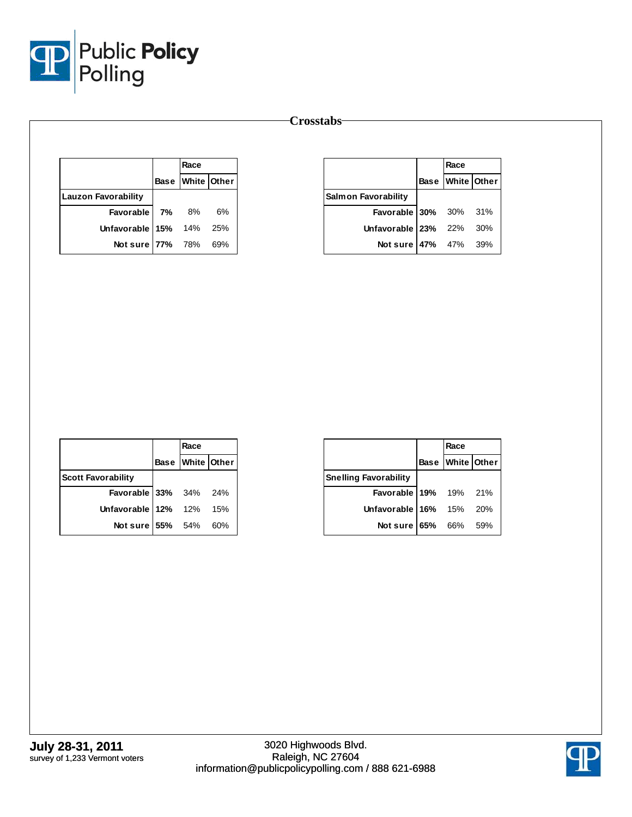

|                            | Race             |     |
|----------------------------|------------------|-----|
|                            | Base White Other |     |
| <b>Lauzon Favorability</b> |                  |     |
| Favorable 7% 8%            |                  | 6%  |
| Unfavorable $15\%$ 14% 25% |                  |     |
| Not sure 77% 78%           |                  | 69% |

|                            | Race             |  |
|----------------------------|------------------|--|
|                            | Base White Other |  |
| <b>Salmon Favorability</b> |                  |  |
| Favorable 30% 30% 31%      |                  |  |
| Unfavorable $23\%$ 22% 30% |                  |  |
| Not sure 47% 47% 39%       |                  |  |

|                              | Race             |     |
|------------------------------|------------------|-----|
|                              | Base White Other |     |
| <b>Scott Favorability</b>    |                  |     |
| <b>Favorable 33%</b> 34% 24% |                  |     |
| Unfavorable 12% 12%          |                  | 15% |
| Notsure 55% $54\%$           |                  | 60% |

|                              | Race |                  |
|------------------------------|------|------------------|
|                              |      | Base White Other |
| <b>Snelling Favorability</b> |      |                  |
| <b>Favorable 19%</b> 19% 21% |      |                  |
| Unfavorable $16\%$ 15% 20%   |      |                  |
| Not sure 65% 66% 59%         |      |                  |

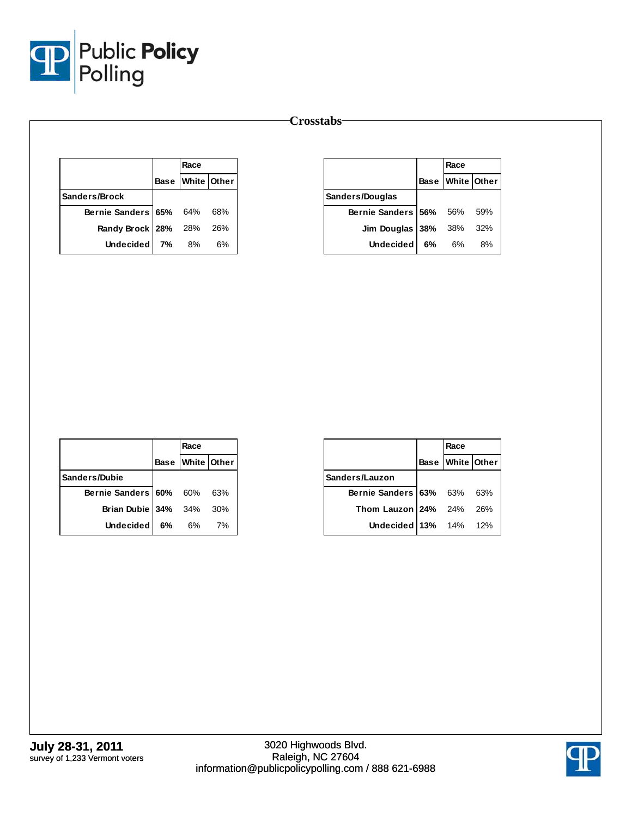

|                            | Race                    |    |
|----------------------------|-------------------------|----|
|                            | <b>Base White Other</b> |    |
| Sanders/Brock              |                         |    |
| Bernie Sanders 65% 64% 68% |                         |    |
| Randy Brock   28% 28% 26%  |                         |    |
| Undecided 7% 8%            |                         | 6% |

|                        |    | Race             |       |
|------------------------|----|------------------|-------|
|                        |    | Base White Other |       |
| Sanders/Douglas        |    |                  |       |
| Bernie Sanders 56% 56% |    |                  | - 59% |
| Jim Douglas $38\%$ 38% |    |                  | 32%   |
| <b>Undecided</b>       | 6% | 6%               | 8%    |

|                            | Race             |    |
|----------------------------|------------------|----|
|                            | Base White Other |    |
| Sanders/Dubie              |                  |    |
| Bernie Sanders 60% 60% 63% |                  |    |
| Brian Dubie 34% 34% 30%    |                  |    |
| <b>Undecided</b>           | 6% 6%            | 7% |

|                            | Race |                  |
|----------------------------|------|------------------|
|                            |      | Base White Other |
| Sanders/Lauzon             |      |                  |
| Bernie Sanders 63% 63% 63% |      |                  |
| Thom Lauzon 24% 24% 26%    |      |                  |
| Undecided 13% 14% 12%      |      |                  |

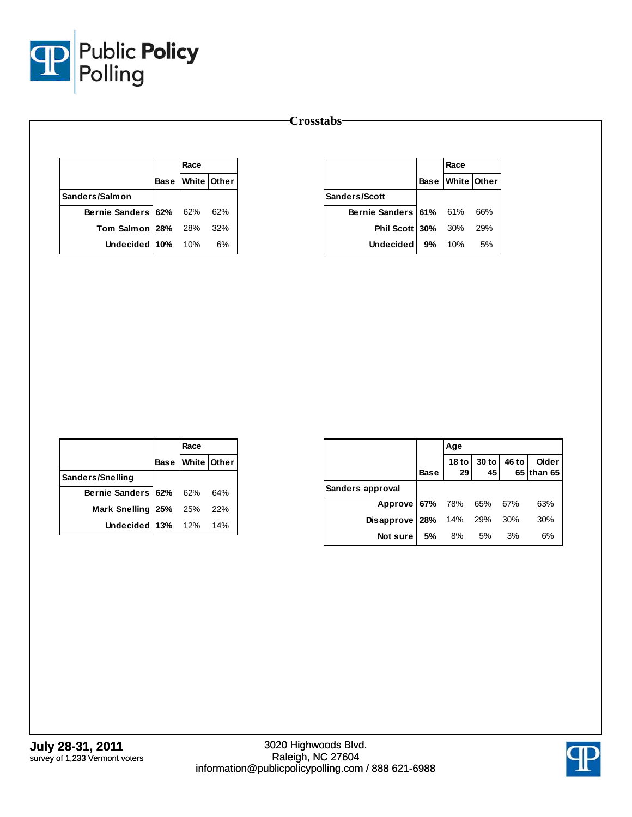

|                               | Race             |    |
|-------------------------------|------------------|----|
|                               | Base White Other |    |
| Sanders/Salmon                |                  |    |
| Bernie Sanders 62% 62% 62%    |                  |    |
| <b>Tom Salmon 28%</b> 28% 32% |                  |    |
| Undecided 10% 10%             |                  | 6% |

|                                   | Race             |     |
|-----------------------------------|------------------|-----|
|                                   | Base White Other |     |
| Sanders/Scott                     |                  |     |
| <b>Bernie Sanders 61%</b> 61% 66% |                  |     |
| Phil Scott 30% 30%                |                  | 29% |
| Undecided $9\%$ 10%               |                  | 5%  |

|                        | Race             |     |
|------------------------|------------------|-----|
|                        | Base White Other |     |
| Sanders/Snelling       |                  |     |
| Bernie Sanders 62% 62% |                  | 64% |
| Mark Snelling 25% 25%  |                  | 22% |
| Undecided 13% 12% 14%  |                  |     |

|                         |             | Age           |                                                                                    |    |                     |
|-------------------------|-------------|---------------|------------------------------------------------------------------------------------|----|---------------------|
|                         | <b>Base</b> | 18 to<br>29 l | $\begin{array}{ c c } \hline 30 \text{ to} & 46 \text{ to} \\ 45 & 65 \end{array}$ |    | Older<br>65 than 65 |
| Sanders approval        |             |               |                                                                                    |    |                     |
| Approve 67% 78% 65% 67% |             |               |                                                                                    |    | 63%                 |
| <b>Disapprove</b>       | 28%         | 14% 29% 30%   |                                                                                    |    | 30%                 |
| Not sure                | 5%          | 8% 5%         |                                                                                    | 3% | 6%                  |

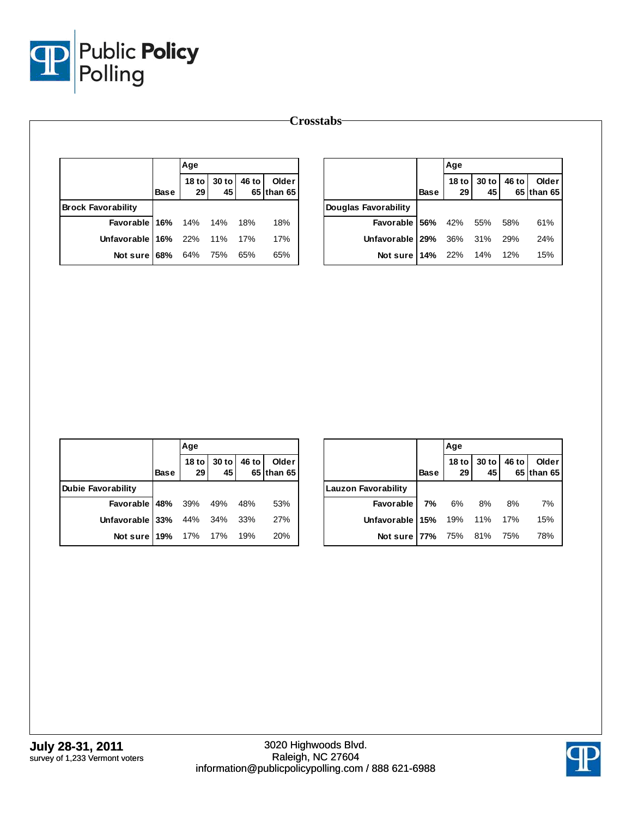

|                           |             | Age                    |             |       | Age                 |                      |             |                        |             |       |                     |
|---------------------------|-------------|------------------------|-------------|-------|---------------------|----------------------|-------------|------------------------|-------------|-------|---------------------|
|                           | <b>Base</b> | 18 <sub>to</sub><br>29 | 30 to<br>45 | 46 to | Older<br>65 than 65 |                      | <b>Base</b> | 18 <sub>to</sub><br>29 | 30 to<br>45 | 46 to | Older<br>65 than 65 |
| <b>Brock Favorability</b> |             |                        |             |       |                     | Douglas Favorability |             |                        |             |       |                     |
| Favorable 16%             |             | 14%                    | 14%         | 18%   | 18%                 | Favorable 56%        |             | 42%                    | 55%         | 58%   | 61%                 |
| Unfavorable 16%           |             | 22%                    | 11%         | 17%   | 17%                 | Unfavorable 29%      |             | 36%                    | 31%         | 29%   | 24%                 |
| Not sure 68%              |             | 64%                    | 75%         | 65%   | 65%                 | Not sure 14%         |             | 22%                    | 14%         | 12%   | 15%                 |

|                             |      | Age |                   |       |                     |
|-----------------------------|------|-----|-------------------|-------|---------------------|
|                             | Base | 29  | 18 to 30 to<br>45 | 46 to | Older<br>65 than 65 |
| <b>Dubie Favorability</b>   |      |     |                   |       |                     |
| Favorable 48% 39% 49% 48%   |      |     |                   |       | 53%                 |
| Unfavorable 33% 44% 34% 33% |      |     |                   |       | 27%                 |
| Not sure 19% 17% 17% 19%    |      |     |                   |       | 20%                 |

|                             |      | Age |                                                                           |       |                     |
|-----------------------------|------|-----|---------------------------------------------------------------------------|-------|---------------------|
|                             | Base |     | $\begin{array}{c c} 18 \text{ to} & 30 \text{ to} \\ 29 & 45 \end{array}$ | 46 to | Older<br>65 than 65 |
| <b>Lauzon Favorability</b>  |      |     |                                                                           |       |                     |
| Favorable 7% 6% 8%          |      |     |                                                                           | 8%    | 7%                  |
| Unfavorable 15% 19% 11% 17% |      |     |                                                                           |       | 15%                 |
| Not sure 77% 75% 81% 75%    |      |     |                                                                           |       | 78%                 |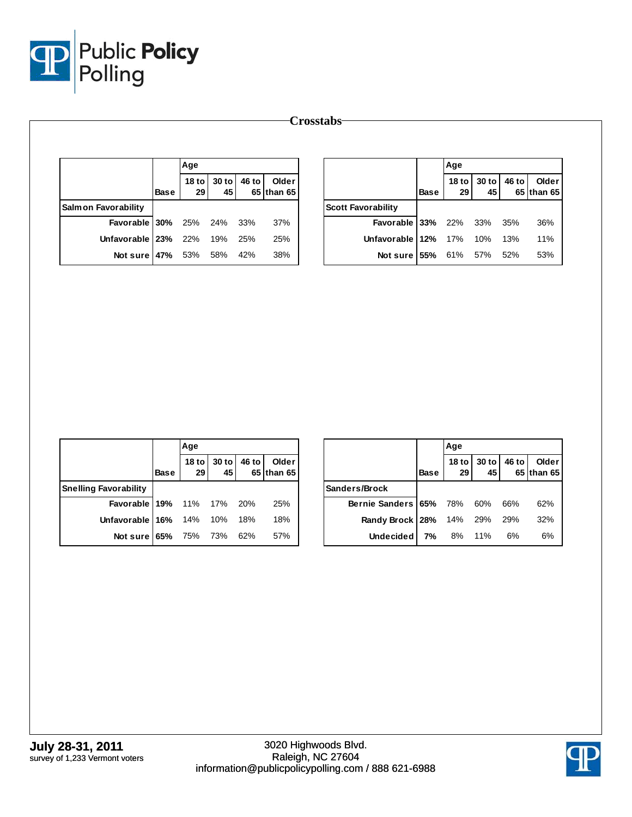

|                            |             | Age                    |               | Age   |                     |                           |             |                     |             |       |                     |
|----------------------------|-------------|------------------------|---------------|-------|---------------------|---------------------------|-------------|---------------------|-------------|-------|---------------------|
|                            | <b>Base</b> | 18 <sub>to</sub><br>29 | $30$ to<br>45 | 46 to | Older<br>65 than 65 |                           | <b>Base</b> | 18 to $\vert$<br>29 | 30 to<br>45 | 46 to | Older<br>65 than 65 |
| <b>Salmon Favorability</b> |             |                        |               |       |                     | <b>Scott Favorability</b> |             |                     |             |       |                     |
| Favorable 30%              |             | 25%                    | 24%           | 33%   | 37%                 | Favorable 33%             |             | 22%                 | 33%         | 35%   | 36%                 |
| Unfavorable   23%          |             | 22%                    | 19%           | 25%   | 25%                 | Unfavorable 12%           |             | 17%                 | 10%         | 13%   | 11%                 |
| Not sure $47%$             |             | 53%                    | 58%           | 42%   | 38%                 | Not sure 55%              |             | 61%                 | 57%         | 52%   | 53%                 |

|                                  |      | Age |                            |                     |
|----------------------------------|------|-----|----------------------------|---------------------|
|                                  | Base |     | 18 to 30 to 46 to 29 45 65 | Older<br>65 than 65 |
| <b>Snelling Favorability</b>     |      |     |                            |                     |
| <b>Favorable 19%</b> 11% 17% 20% |      |     |                            | 25%                 |
| Unfavorable 16% 14% 10% 18%      |      |     |                            | 18%                 |
| Not sure 65% 75% 73% 62%         |      |     |                            | 57%                 |

|                                      |             | Age  |                                                 |      |                     |
|--------------------------------------|-------------|------|-------------------------------------------------|------|---------------------|
|                                      | <b>Base</b> | 29 I | 18 to $\vert 30$ to $\vert 46$ to $\vert$<br>45 |      | Older<br>65 than 65 |
| <b>ISanders/Brock</b>                |             |      |                                                 |      |                     |
| Bernie Sanders 65% 78% 60% 66%       |             |      |                                                 |      | 62%                 |
| <b>Randy Brock   28%</b> 14% 29% 29% |             |      |                                                 |      | 32%                 |
| Undecided $7\%$ 8% 11%               |             |      |                                                 | - 6% | 6%                  |

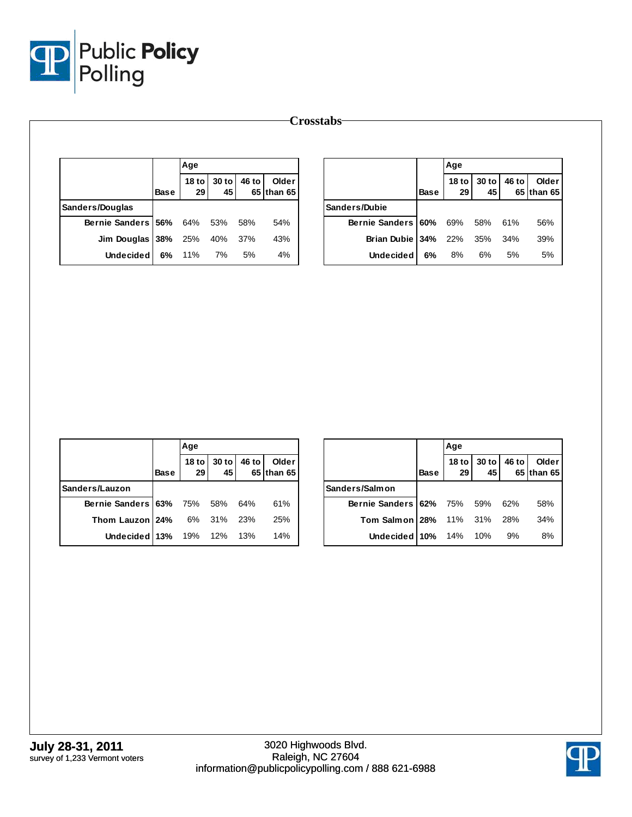

|                    |      | Age                    |               |       | Age                 |                    |             |                        |             |       |                     |
|--------------------|------|------------------------|---------------|-------|---------------------|--------------------|-------------|------------------------|-------------|-------|---------------------|
|                    | Base | 18 <sub>to</sub><br>29 | $30$ to<br>45 | 46 to | Older<br>65 than 65 |                    | <b>Base</b> | 18 <sub>to</sub><br>29 | 30 to<br>45 | 46 to | Older<br>65 than 65 |
| Sanders/Douglas    |      |                        |               |       |                     | Sanders/Dubie      |             |                        |             |       |                     |
| Bernie Sanders 56% |      | 64%                    | 53%           | 58%   | 54%                 | Bernie Sanders 60% |             | 69%                    | 58%         | 61%   | 56%                 |
| Jim Douglas 38%    |      | 25%                    | 40%           | 37%   | 43%                 | Brian Dubie 34%    |             | 22%                    | 35%         | 34%   | 39%                 |
| <b>Undecided</b>   | 6%   | 11%                    | 7%            | 5%    | 4%                  | Undecided          | 6%          | 8%                     | 6%          | 5%    | 5%                  |

|                                |      | Age |                            |                     |
|--------------------------------|------|-----|----------------------------|---------------------|
|                                | Base |     | 18 to 30 to 46 to 29 45 65 | Older<br>65 than 65 |
| Sanders/Lauzon                 |      |     |                            |                     |
| Bernie Sanders 63% 75% 58% 64% |      |     |                            | 61%                 |
| Thom Lauzon 24% 6% 31% 23%     |      |     |                            | 25%                 |
| Undecided 13% 19% 12% 13%      |      |     |                            | 14%                 |

|                                   |             | Age                    |                          |       |                     |  |  |
|-----------------------------------|-------------|------------------------|--------------------------|-------|---------------------|--|--|
|                                   | <b>Base</b> | 18 <sub>to</sub><br>29 | 30 to<br>45 <sub>1</sub> | 46 to | Older<br>65 than 65 |  |  |
| Sanders/Salmon                    |             |                        |                          |       |                     |  |  |
| Bernie Sanders 62% 75% 59% 62%    |             |                        |                          |       | 58%                 |  |  |
| <b>Tom Salmon 28%</b> 11% 31% 28% |             |                        |                          |       | 34%                 |  |  |
| Undecided $10\%$ 14% 10%          |             |                        |                          | 9%    | 8%                  |  |  |